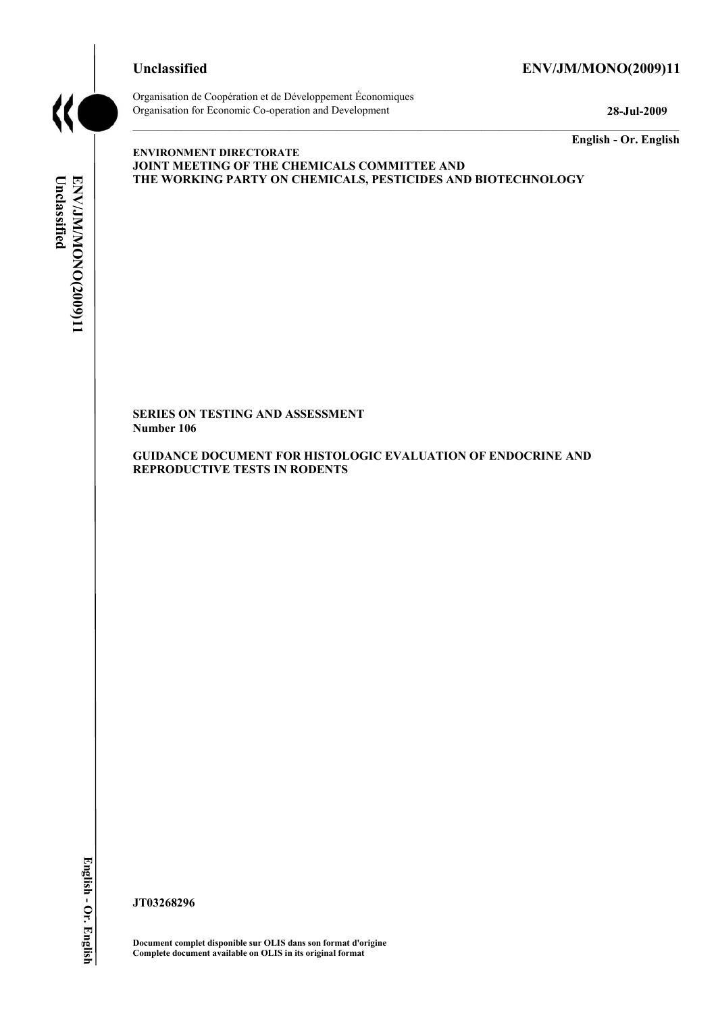# **Unclassified ENV/JM/MONO(2009)11**



Organisation de Coopération et de Développement Économiques Organisation for Economic Co-operation and Development **28-Jul-2009** 

**English - Or. English** 

# Unclassified ENV/JM/MONOC2009)11 **Unclassified ENV/JM/MONO(2009)11 English - Or. English**

**ENVIRONMENT DIRECTORATE JOINT MEETING OF THE CHEMICALS COMMITTEE AND THE WORKING PARTY ON CHEMICALS, PESTICIDES AND BIOTECHNOLOGY** 

**SERIES ON TESTING AND ASSESSMENT Number 106** 

**GUIDANCE DOCUMENT FOR HISTOLOGIC EVALUATION OF ENDOCRINE AND REPRODUCTIVE TESTS IN RODENTS** 

**JT03268296** 

**Document complet disponible sur OLIS dans son format d'origine Complete document available on OLIS in its original format**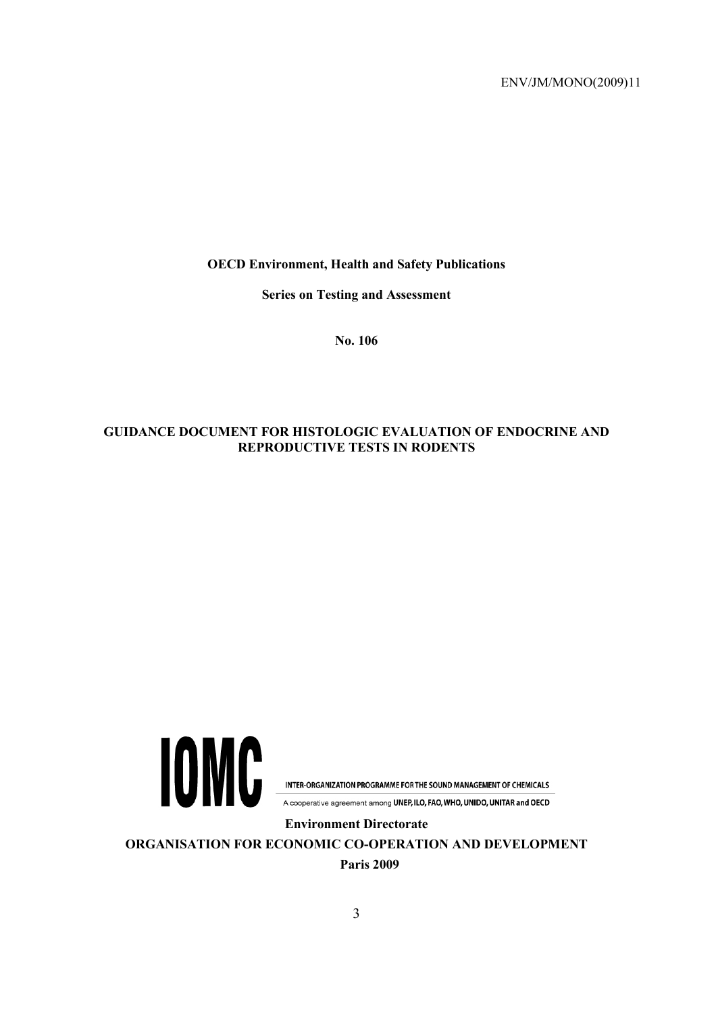**OECD Environment, Health and Safety Publications** 

**Series on Testing and Assessment** 

**No. 106** 

# **GUIDANCE DOCUMENT FOR HISTOLOGIC EVALUATION OF ENDOCRINE AND REPRODUCTIVE TESTS IN RODENTS**



INTER-ORGANIZATION PROGRAMME FOR THE SOUND MANAGEMENT OF CHEMICALS

A cooperative agreement among UNEP, ILO, FAO, WHO, UNIDO, UNITAR and OECD

**Environment Directorate** 

**ORGANISATION FOR ECONOMIC CO-OPERATION AND DEVELOPMENT Paris 2009**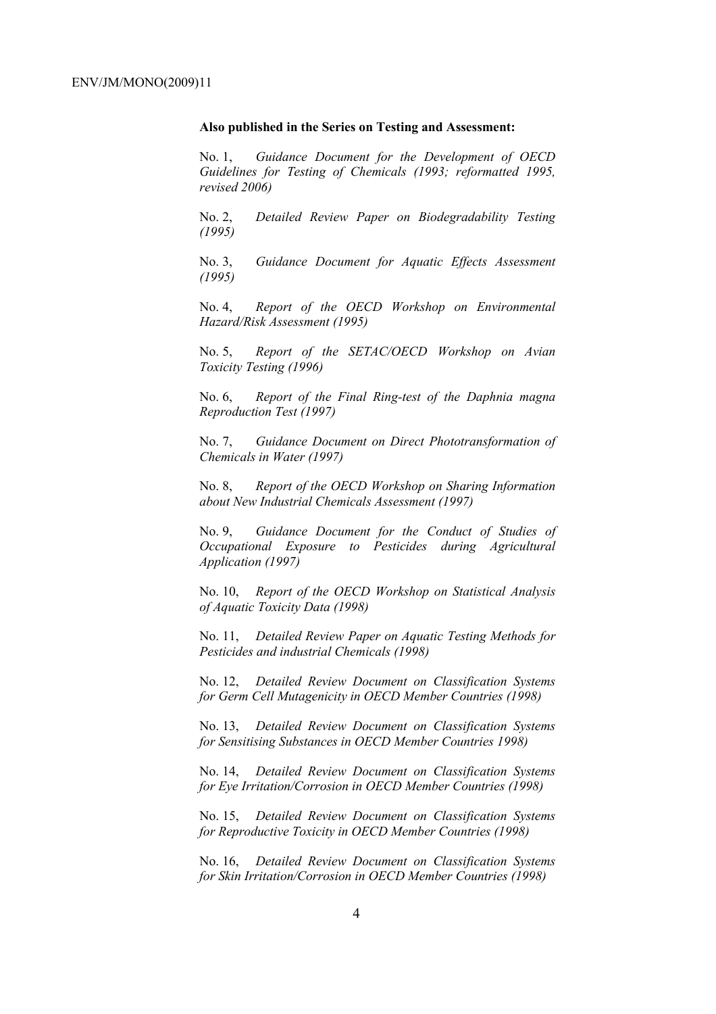#### **Also published in the Series on Testing and Assessment:**

No. 1, *Guidance Document for the Development of OECD Guidelines for Testing of Chemicals (1993; reformatted 1995, revised 2006)*

No. 2, *Detailed Review Paper on Biodegradability Testing (1995)*

No. 3, *Guidance Document for Aquatic Effects Assessment (1995)* 

No. 4, *Report of the OECD Workshop on Environmental Hazard/Risk Assessment (1995)*

No. 5, *Report of the SETAC/OECD Workshop on Avian Toxicity Testing (1996)*

No. 6, *Report of the Final Ring-test of the Daphnia magna Reproduction Test (1997)*

No. 7, *Guidance Document on Direct Phototransformation of Chemicals in Water (1997)* 

No. 8, *Report of the OECD Workshop on Sharing Information about New Industrial Chemicals Assessment (1997)*

No. 9, *Guidance Document for the Conduct of Studies of Occupational Exposure to Pesticides during Agricultural Application (1997)*

No. 10, *Report of the OECD Workshop on Statistical Analysis of Aquatic Toxicity Data (1998)*

No. 11, *Detailed Review Paper on Aquatic Testing Methods for Pesticides and industrial Chemicals (1998)*

No. 12, *Detailed Review Document on Classification Systems for Germ Cell Mutagenicity in OECD Member Countries (1998)*

No. 13, *Detailed Review Document on Classification Systems for Sensitising Substances in OECD Member Countries 1998)*

No. 14, *Detailed Review Document on Classification Systems for Eye Irritation/Corrosion in OECD Member Countries (1998)*

No. 15, *Detailed Review Document on Classification Systems for Reproductive Toxicity in OECD Member Countries (1998)*

No. 16, *Detailed Review Document on Classification Systems for Skin Irritation/Corrosion in OECD Member Countries (1998)*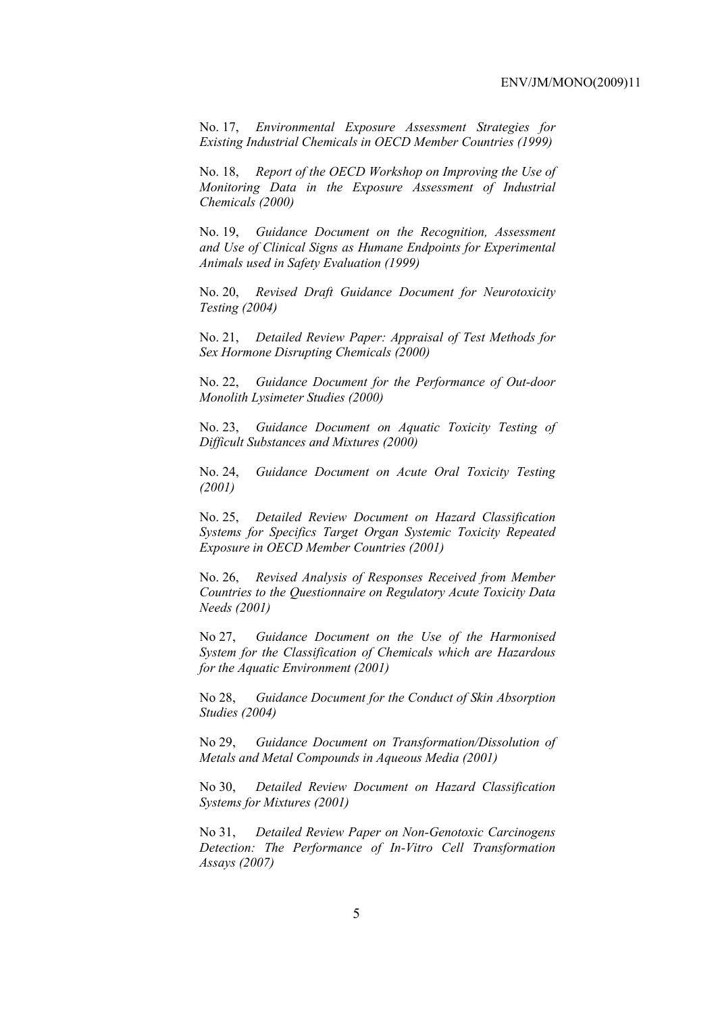No. 17, *Environmental Exposure Assessment Strategies for Existing Industrial Chemicals in OECD Member Countries (1999)*

No. 18, *Report of the OECD Workshop on Improving the Use of Monitoring Data in the Exposure Assessment of Industrial Chemicals (2000)*

No. 19, *Guidance Document on the Recognition, Assessment and Use of Clinical Signs as Humane Endpoints for Experimental Animals used in Safety Evaluation (1999)*

No. 20, *Revised Draft Guidance Document for Neurotoxicity Testing (2004)*

No. 21, *Detailed Review Paper: Appraisal of Test Methods for Sex Hormone Disrupting Chemicals (2000)*

No. 22, *Guidance Document for the Performance of Out-door Monolith Lysimeter Studies (2000)*

No. 23, *Guidance Document on Aquatic Toxicity Testing of Difficult Substances and Mixtures (2000)*

No. 24, *Guidance Document on Acute Oral Toxicity Testing (2001)*

No. 25, *Detailed Review Document on Hazard Classification Systems for Specifics Target Organ Systemic Toxicity Repeated Exposure in OECD Member Countries (2001)*

No. 26, *Revised Analysis of Responses Received from Member Countries to the Questionnaire on Regulatory Acute Toxicity Data Needs (2001)*

No 27, *Guidance Document on the Use of the Harmonised System for the Classification of Chemicals which are Hazardous for the Aquatic Environment (2001)*

No 28, *Guidance Document for the Conduct of Skin Absorption Studies (2004)*

No 29, *Guidance Document on Transformation/Dissolution of Metals and Metal Compounds in Aqueous Media (2001)*

No 30, *Detailed Review Document on Hazard Classification Systems for Mixtures (2001)*

No 31, *Detailed Review Paper on Non-Genotoxic Carcinogens Detection: The Performance of In-Vitro Cell Transformation Assays (2007)*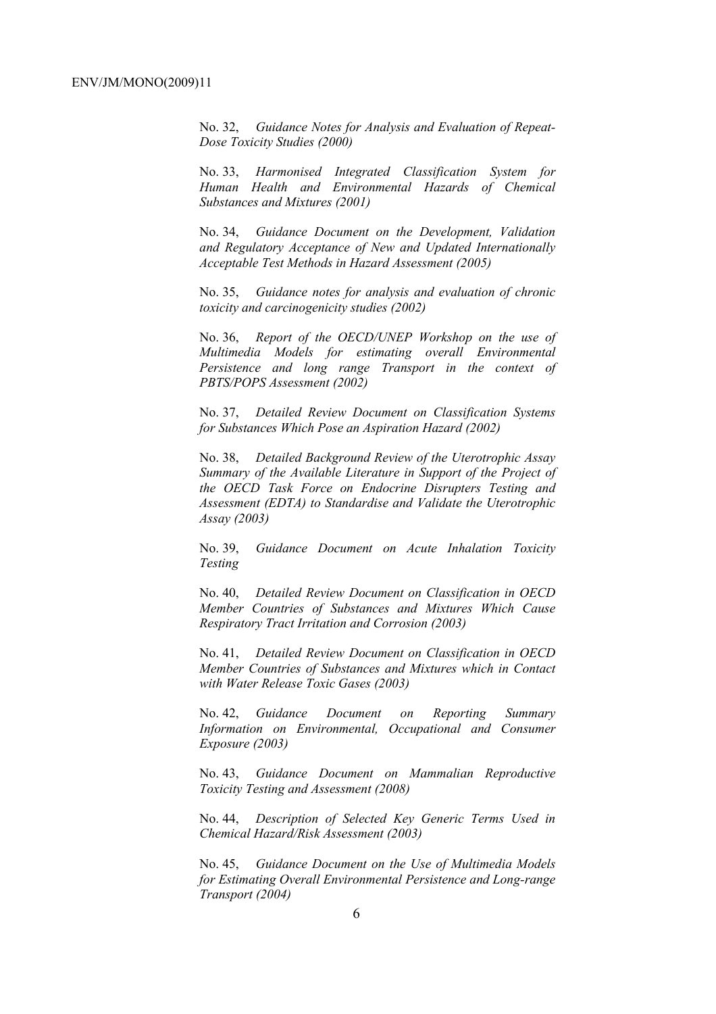No. 32, *Guidance Notes for Analysis and Evaluation of Repeat-Dose Toxicity Studies (2000)*

No. 33, *Harmonised Integrated Classification System for Human Health and Environmental Hazards of Chemical Substances and Mixtures (2001)*

No. 34, *Guidance Document on the Development, Validation and Regulatory Acceptance of New and Updated Internationally Acceptable Test Methods in Hazard Assessment (2005)*

No. 35, *Guidance notes for analysis and evaluation of chronic toxicity and carcinogenicity studies (2002)*

No. 36, *Report of the OECD/UNEP Workshop on the use of Multimedia Models for estimating overall Environmental Persistence and long range Transport in the context of PBTS/POPS Assessment (2002)*

No. 37, *Detailed Review Document on Classification Systems for Substances Which Pose an Aspiration Hazard (2002)*

No. 38, *Detailed Background Review of the Uterotrophic Assay Summary of the Available Literature in Support of the Project of the OECD Task Force on Endocrine Disrupters Testing and Assessment (EDTA) to Standardise and Validate the Uterotrophic Assay (2003)*

No. 39, *Guidance Document on Acute Inhalation Toxicity Testing* 

No. 40, *Detailed Review Document on Classification in OECD Member Countries of Substances and Mixtures Which Cause Respiratory Tract Irritation and Corrosion (2003)*

No. 41, *Detailed Review Document on Classification in OECD Member Countries of Substances and Mixtures which in Contact with Water Release Toxic Gases (2003)*

No. 42, *Guidance Document on Reporting Summary Information on Environmental, Occupational and Consumer Exposure (2003)*

No. 43, *Guidance Document on Mammalian Reproductive Toxicity Testing and Assessment (2008)*

No. 44, *Description of Selected Key Generic Terms Used in Chemical Hazard/Risk Assessment (2003)* 

No. 45, *Guidance Document on the Use of Multimedia Models for Estimating Overall Environmental Persistence and Long-range Transport (2004)*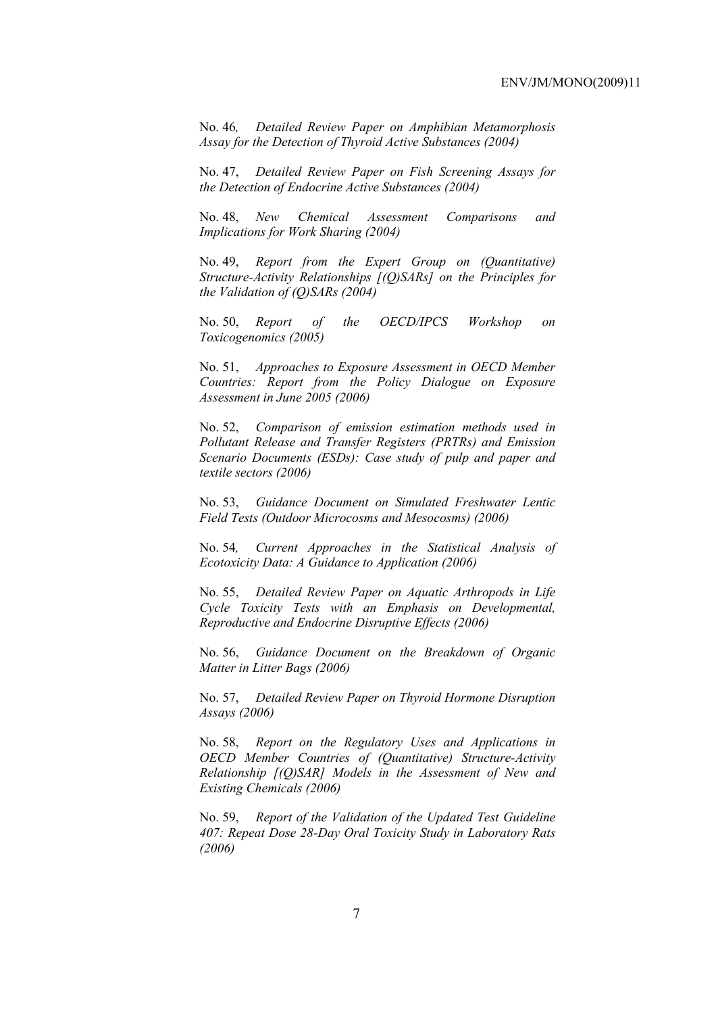No. 46*, Detailed Review Paper on Amphibian Metamorphosis Assay for the Detection of Thyroid Active Substances (2004)* 

No. 47, *Detailed Review Paper on Fish Screening Assays for the Detection of Endocrine Active Substances (2004)* 

No. 48, *New Chemical Assessment Comparisons and Implications for Work Sharing (2004)* 

No. 49, *Report from the Expert Group on (Quantitative) Structure-Activity Relationships [(Q)SARs] on the Principles for the Validation of (Q)SARs (2004)* 

No. 50, *Report of the OECD/IPCS Workshop on Toxicogenomics (2005)* 

No. 51, *Approaches to Exposure Assessment in OECD Member Countries: Report from the Policy Dialogue on Exposure Assessment in June 2005 (2006)* 

No. 52, *Comparison of emission estimation methods used in Pollutant Release and Transfer Registers (PRTRs) and Emission Scenario Documents (ESDs): Case study of pulp and paper and textile sectors (2006)* 

No. 53, *Guidance Document on Simulated Freshwater Lentic Field Tests (Outdoor Microcosms and Mesocosms) (2006)* 

No. 54*, Current Approaches in the Statistical Analysis of Ecotoxicity Data: A Guidance to Application (2006)* 

No. 55, *Detailed Review Paper on Aquatic Arthropods in Life Cycle Toxicity Tests with an Emphasis on Developmental, Reproductive and Endocrine Disruptive Effects (2006)* 

No. 56, *Guidance Document on the Breakdown of Organic Matter in Litter Bags (2006)* 

No. 57, *Detailed Review Paper on Thyroid Hormone Disruption Assays (2006)* 

No. 58, *Report on the Regulatory Uses and Applications in OECD Member Countries of (Quantitative) Structure-Activity Relationship [(Q)SAR] Models in the Assessment of New and Existing Chemicals (2006)* 

No. 59, *Report of the Validation of the Updated Test Guideline 407: Repeat Dose 28-Day Oral Toxicity Study in Laboratory Rats (2006)*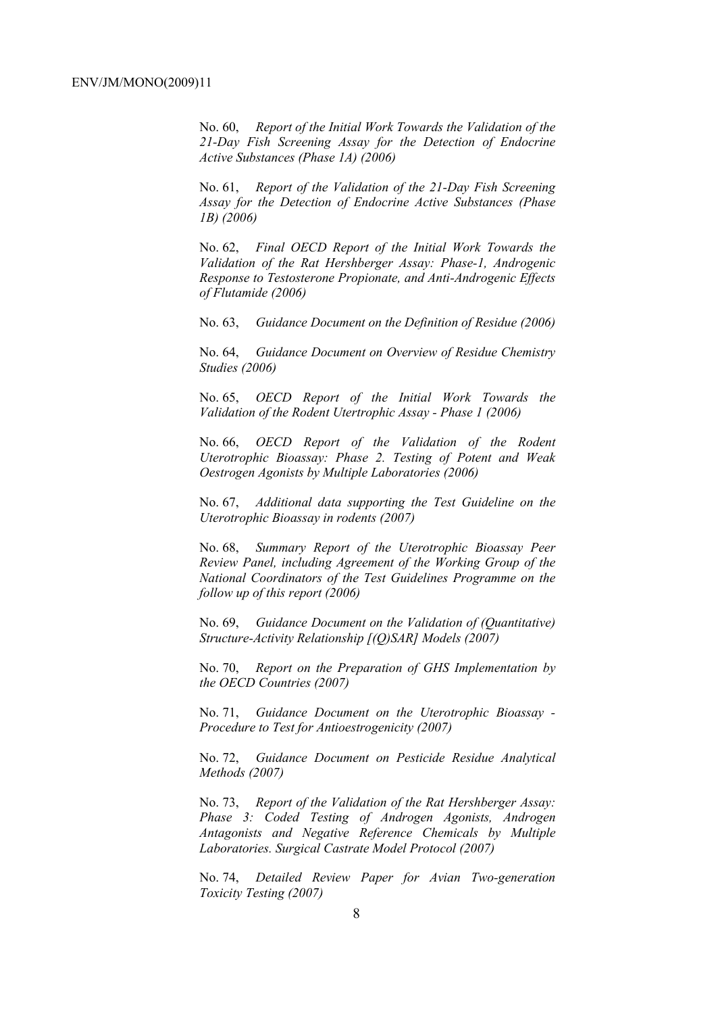No. 60, *Report of the Initial Work Towards the Validation of the 21-Day Fish Screening Assay for the Detection of Endocrine Active Substances (Phase 1A) (2006)* 

No. 61, *Report of the Validation of the 21-Day Fish Screening Assay for the Detection of Endocrine Active Substances (Phase 1B) (2006)* 

No. 62, *Final OECD Report of the Initial Work Towards the Validation of the Rat Hershberger Assay: Phase-1, Androgenic Response to Testosterone Propionate, and Anti-Androgenic Effects of Flutamide (2006)* 

No. 63, *Guidance Document on the Definition of Residue (2006)* 

No. 64, *Guidance Document on Overview of Residue Chemistry Studies (2006)* 

No. 65, *OECD Report of the Initial Work Towards the Validation of the Rodent Utertrophic Assay - Phase 1 (2006)* 

No. 66, *OECD Report of the Validation of the Rodent Uterotrophic Bioassay: Phase 2. Testing of Potent and Weak Oestrogen Agonists by Multiple Laboratories (2006)* 

No. 67, *Additional data supporting the Test Guideline on the Uterotrophic Bioassay in rodents (2007)* 

No. 68, *Summary Report of the Uterotrophic Bioassay Peer Review Panel, including Agreement of the Working Group of the National Coordinators of the Test Guidelines Programme on the follow up of this report (2006)* 

No. 69, *Guidance Document on the Validation of (Quantitative) Structure-Activity Relationship [(Q)SAR] Models (2007)* 

No. 70, *Report on the Preparation of GHS Implementation by the OECD Countries (2007)*

No. 71, *Guidance Document on the Uterotrophic Bioassay - Procedure to Test for Antioestrogenicity (2007)*

No. 72, *Guidance Document on Pesticide Residue Analytical Methods (2007)* 

No. 73, *Report of the Validation of the Rat Hershberger Assay: Phase 3: Coded Testing of Androgen Agonists, Androgen Antagonists and Negative Reference Chemicals by Multiple Laboratories. Surgical Castrate Model Protocol (2007)* 

No. 74, *Detailed Review Paper for Avian Two-generation Toxicity Testing (2007)*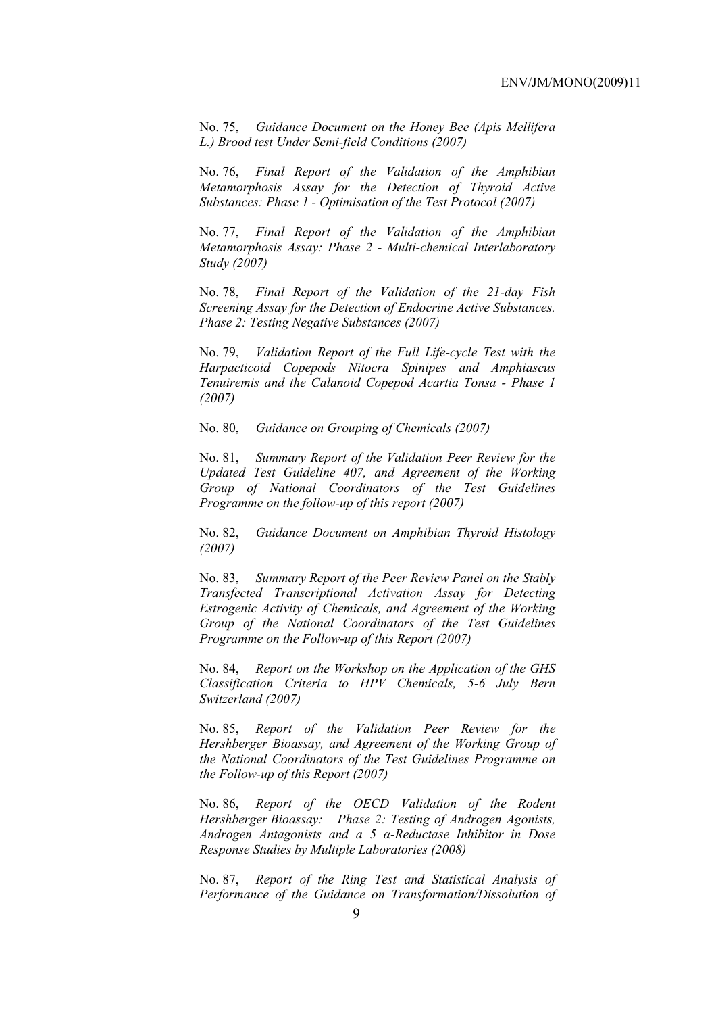No. 75, *Guidance Document on the Honey Bee (Apis Mellifera L.) Brood test Under Semi-field Conditions (2007)* 

No. 76, *Final Report of the Validation of the Amphibian Metamorphosis Assay for the Detection of Thyroid Active Substances: Phase 1 - Optimisation of the Test Protocol (2007)* 

No. 77, *Final Report of the Validation of the Amphibian Metamorphosis Assay: Phase 2 - Multi-chemical Interlaboratory Study (2007)* 

No. 78, *Final Report of the Validation of the 21-day Fish Screening Assay for the Detection of Endocrine Active Substances. Phase 2: Testing Negative Substances (2007)* 

No. 79, *Validation Report of the Full Life-cycle Test with the Harpacticoid Copepods Nitocra Spinipes and Amphiascus Tenuiremis and the Calanoid Copepod Acartia Tonsa - Phase 1 (2007)* 

No. 80, *Guidance on Grouping of Chemicals (2007)* 

No. 81, *Summary Report of the Validation Peer Review for the Updated Test Guideline 407, and Agreement of the Working Group of National Coordinators of the Test Guidelines Programme on the follow-up of this report (2007)* 

No. 82, *Guidance Document on Amphibian Thyroid Histology (2007)* 

No. 83, *Summary Report of the Peer Review Panel on the Stably Transfected Transcriptional Activation Assay for Detecting Estrogenic Activity of Chemicals, and Agreement of the Working Group of the National Coordinators of the Test Guidelines Programme on the Follow-up of this Report (2007)* 

No. 84, *Report on the Workshop on the Application of the GHS Classification Criteria to HPV Chemicals, 5-6 July Bern Switzerland (2007)* 

No. 85, *Report of the Validation Peer Review for the Hershberger Bioassay, and Agreement of the Working Group of the National Coordinators of the Test Guidelines Programme on the Follow-up of this Report (2007)* 

No. 86, *Report of the OECD Validation of the Rodent Hershberger Bioassay: Phase 2: Testing of Androgen Agonists, Androgen Antagonists and a 5 α-Reductase Inhibitor in Dose Response Studies by Multiple Laboratories (2008)*

No. 87, *Report of the Ring Test and Statistical Analysis of Performance of the Guidance on Transformation/Dissolution of*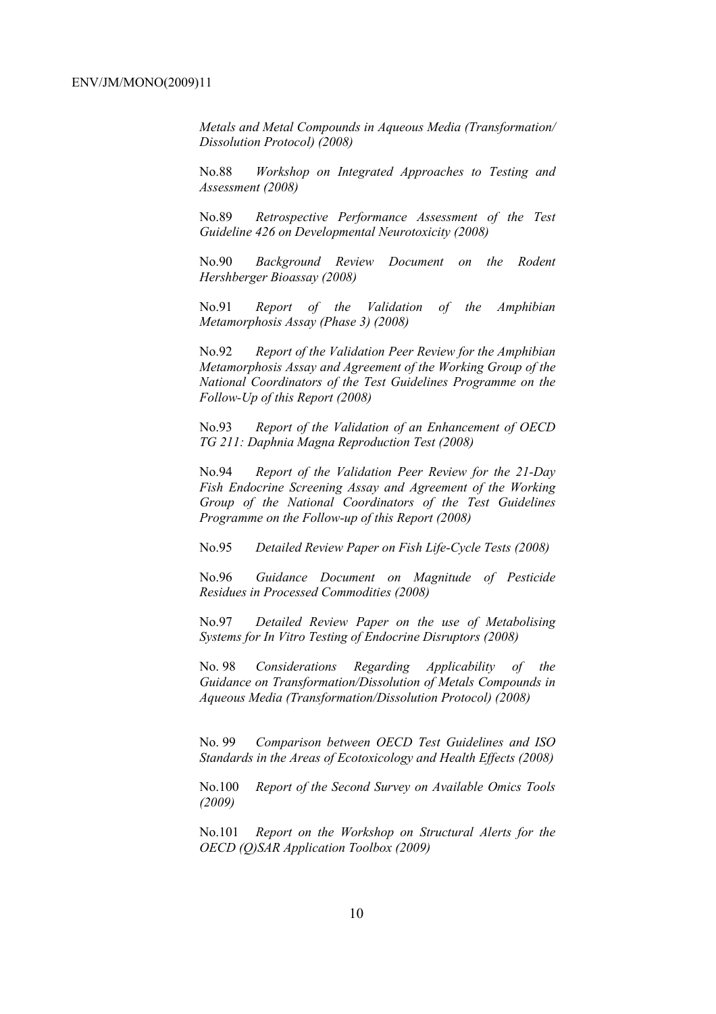*Metals and Metal Compounds in Aqueous Media (Transformation/ Dissolution Protocol) (2008)*

No.88 *Workshop on Integrated Approaches to Testing and Assessment (2008)* 

No.89 *Retrospective Performance Assessment of the Test Guideline 426 on Developmental Neurotoxicity (2008)* 

No.90 *Background Review Document on the Rodent Hershberger Bioassay (2008)* 

No.91 *Report of the Validation of the Amphibian Metamorphosis Assay (Phase 3) (2008)* 

No.92 *Report of the Validation Peer Review for the Amphibian Metamorphosis Assay and Agreement of the Working Group of the National Coordinators of the Test Guidelines Programme on the Follow-Up of this Report (2008)* 

No.93 *Report of the Validation of an Enhancement of OECD TG 211: Daphnia Magna Reproduction Test (2008)* 

No.94 *Report of the Validation Peer Review for the 21-Day Fish Endocrine Screening Assay and Agreement of the Working Group of the National Coordinators of the Test Guidelines Programme on the Follow-up of this Report (2008)* 

No.95 *Detailed Review Paper on Fish Life-Cycle Tests (2008)* 

No.96 *Guidance Document on Magnitude of Pesticide Residues in Processed Commodities (2008)* 

No.97 *Detailed Review Paper on the use of Metabolising Systems for In Vitro Testing of Endocrine Disruptors (2008)* 

No. 98 *Considerations Regarding Applicability of the Guidance on Transformation/Dissolution of Metals Compounds in Aqueous Media (Transformation/Dissolution Protocol) (2008)*

No. 99 *Comparison between OECD Test Guidelines and ISO Standards in the Areas of Ecotoxicology and Health Effects (2008)* 

No.100 *Report of the Second Survey on Available Omics Tools (2009)* 

No.101 *Report on the Workshop on Structural Alerts for the OECD (Q)SAR Application Toolbox (2009)*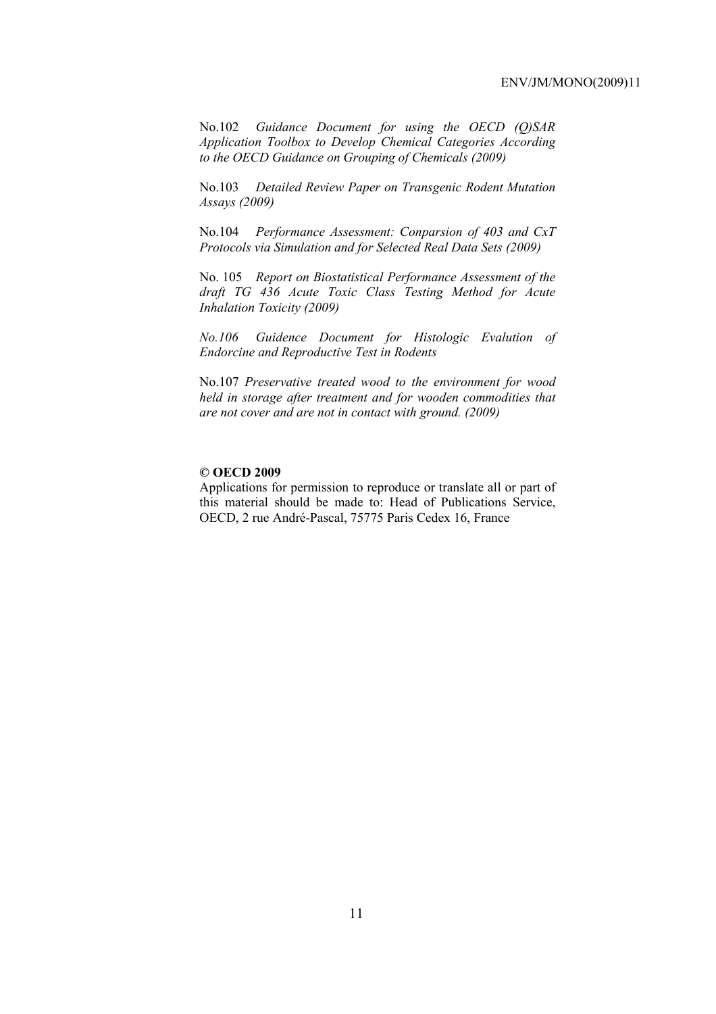No.102 *Guidance Document for using the OECD (Q)SAR Application Toolbox to Develop Chemical Categories According to the OECD Guidance on Grouping of Chemicals (2009)* 

No.103 *Detailed Review Paper on Transgenic Rodent Mutation Assays (2009)* 

No.104 *Performance Assessment: Conparsion of 403 and CxT Protocols via Simulation and for Selected Real Data Sets (2009)* 

No. 105 *Report on Biostatistical Performance Assessment of the draft TG 436 Acute Toxic Class Testing Method for Acute Inhalation Toxicity (2009)* 

*No.106 Guidence Document for Histologic Evalution of Endorcine and Reproductive Test in Rodents* 

No.107 *Preservative treated wood to the environment for wood held in storage after treatment and for wooden commodities that are not cover and are not in contact with ground. (2009)* 

#### **© OECD 2009**

Applications for permission to reproduce or translate all or part of this material should be made to: Head of Publications Service, OECD, 2 rue André-Pascal, 75775 Paris Cedex 16, France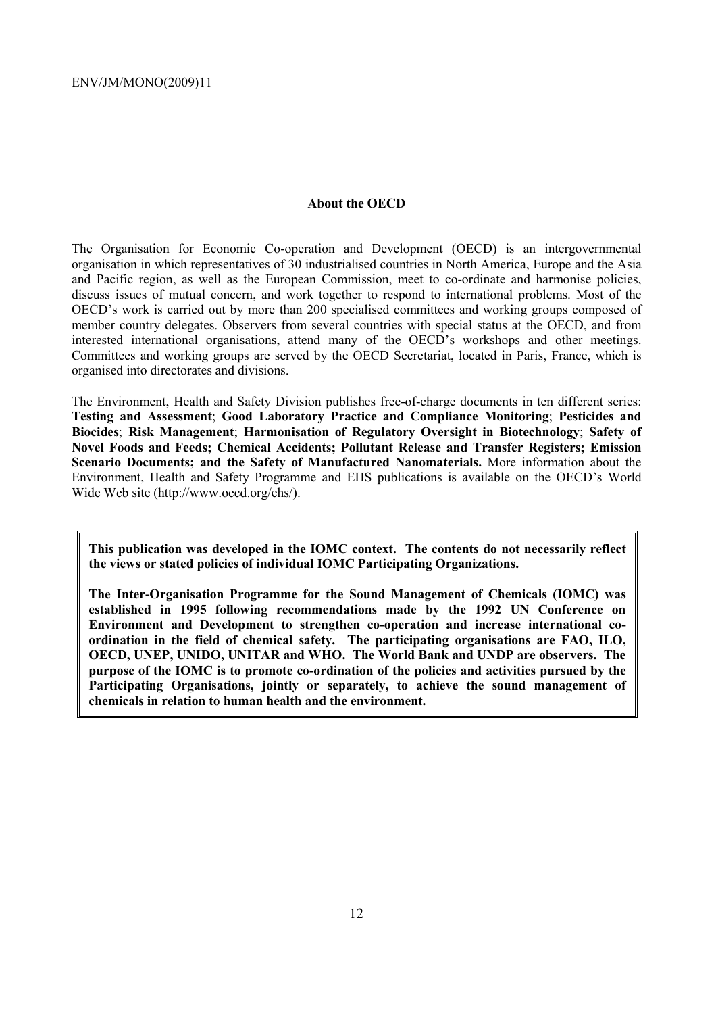#### **About the OECD**

The Organisation for Economic Co-operation and Development (OECD) is an intergovernmental organisation in which representatives of 30 industrialised countries in North America, Europe and the Asia and Pacific region, as well as the European Commission, meet to co-ordinate and harmonise policies, discuss issues of mutual concern, and work together to respond to international problems. Most of the OECD's work is carried out by more than 200 specialised committees and working groups composed of member country delegates. Observers from several countries with special status at the OECD, and from interested international organisations, attend many of the OECD's workshops and other meetings. Committees and working groups are served by the OECD Secretariat, located in Paris, France, which is organised into directorates and divisions.

The Environment, Health and Safety Division publishes free-of-charge documents in ten different series: **Testing and Assessment**; **Good Laboratory Practice and Compliance Monitoring**; **Pesticides and Biocides**; **Risk Management**; **Harmonisation of Regulatory Oversight in Biotechnology**; **Safety of Novel Foods and Feeds; Chemical Accidents; Pollutant Release and Transfer Registers; Emission Scenario Documents; and the Safety of Manufactured Nanomaterials.** More information about the Environment, Health and Safety Programme and EHS publications is available on the OECD's World Wide Web site (http://www.oecd.org/ehs/).

**This publication was developed in the IOMC context. The contents do not necessarily reflect the views or stated policies of individual IOMC Participating Organizations.** 

**The Inter-Organisation Programme for the Sound Management of Chemicals (IOMC) was established in 1995 following recommendations made by the 1992 UN Conference on Environment and Development to strengthen co-operation and increase international coordination in the field of chemical safety. The participating organisations are FAO, ILO, OECD, UNEP, UNIDO, UNITAR and WHO. The World Bank and UNDP are observers. The purpose of the IOMC is to promote co-ordination of the policies and activities pursued by the Participating Organisations, jointly or separately, to achieve the sound management of chemicals in relation to human health and the environment.**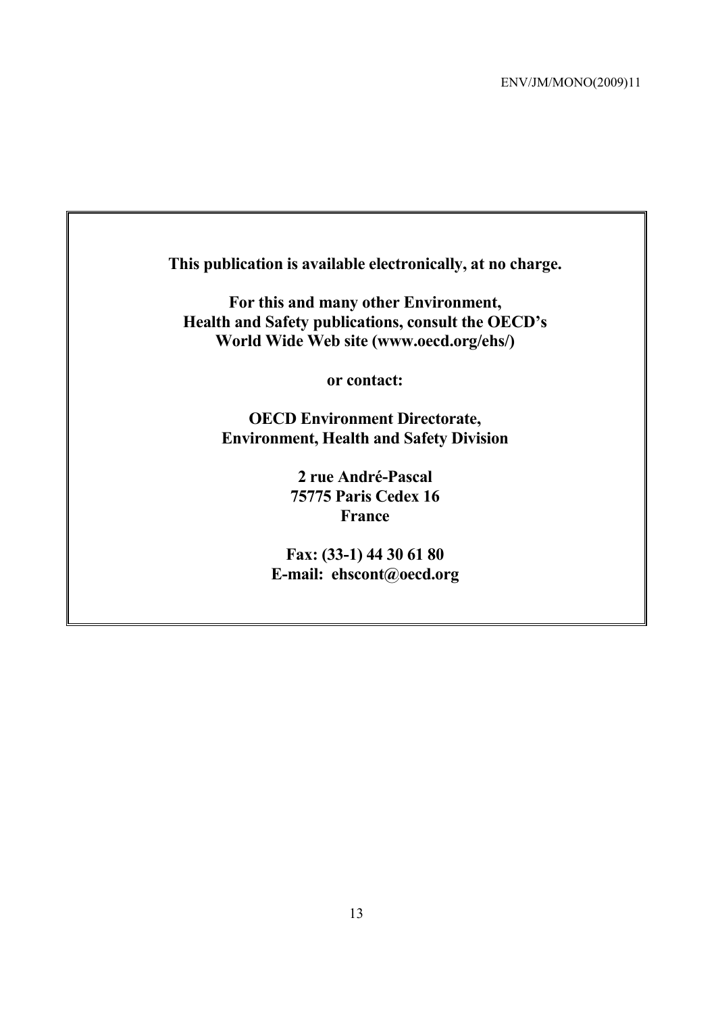**This publication is available electronically, at no charge.** 

**For this and many other Environment, Health and Safety publications, consult the OECD's World Wide Web site (www.oecd.org/ehs/)** 

**or contact:** 

**OECD Environment Directorate, Environment, Health and Safety Division** 

> **2 rue André-Pascal 75775 Paris Cedex 16 France**

**Fax: (33-1) 44 30 61 80 E-mail: ehscont@oecd.org**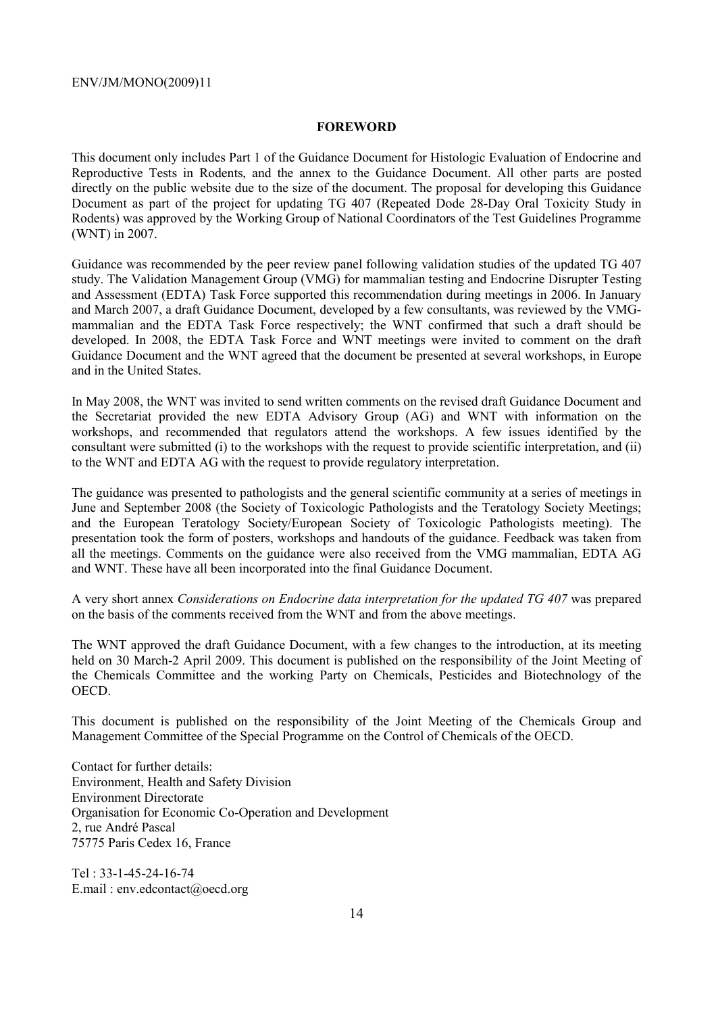#### **FOREWORD**

This document only includes Part 1 of the Guidance Document for Histologic Evaluation of Endocrine and Reproductive Tests in Rodents, and the annex to the Guidance Document. All other parts are posted directly on the public website due to the size of the document. The proposal for developing this Guidance Document as part of the project for updating TG 407 (Repeated Dode 28-Day Oral Toxicity Study in Rodents) was approved by the Working Group of National Coordinators of the Test Guidelines Programme (WNT) in 2007.

Guidance was recommended by the peer review panel following validation studies of the updated TG 407 study. The Validation Management Group (VMG) for mammalian testing and Endocrine Disrupter Testing and Assessment (EDTA) Task Force supported this recommendation during meetings in 2006. In January and March 2007, a draft Guidance Document, developed by a few consultants, was reviewed by the VMGmammalian and the EDTA Task Force respectively; the WNT confirmed that such a draft should be developed. In 2008, the EDTA Task Force and WNT meetings were invited to comment on the draft Guidance Document and the WNT agreed that the document be presented at several workshops, in Europe and in the United States.

In May 2008, the WNT was invited to send written comments on the revised draft Guidance Document and the Secretariat provided the new EDTA Advisory Group (AG) and WNT with information on the workshops, and recommended that regulators attend the workshops. A few issues identified by the consultant were submitted (i) to the workshops with the request to provide scientific interpretation, and (ii) to the WNT and EDTA AG with the request to provide regulatory interpretation.

The guidance was presented to pathologists and the general scientific community at a series of meetings in June and September 2008 (the Society of Toxicologic Pathologists and the Teratology Society Meetings; and the European Teratology Society/European Society of Toxicologic Pathologists meeting). The presentation took the form of posters, workshops and handouts of the guidance. Feedback was taken from all the meetings. Comments on the guidance were also received from the VMG mammalian, EDTA AG and WNT. These have all been incorporated into the final Guidance Document.

A very short annex *Considerations on Endocrine data interpretation for the updated TG 407* was prepared on the basis of the comments received from the WNT and from the above meetings.

The WNT approved the draft Guidance Document, with a few changes to the introduction, at its meeting held on 30 March-2 April 2009. This document is published on the responsibility of the Joint Meeting of the Chemicals Committee and the working Party on Chemicals, Pesticides and Biotechnology of the OECD.

This document is published on the responsibility of the Joint Meeting of the Chemicals Group and Management Committee of the Special Programme on the Control of Chemicals of the OECD.

Contact for further details: Environment, Health and Safety Division Environment Directorate Organisation for Economic Co-Operation and Development 2, rue André Pascal 75775 Paris Cedex 16, France

Tel : 33-1-45-24-16-74 E.mail : env.edcontact@oecd.org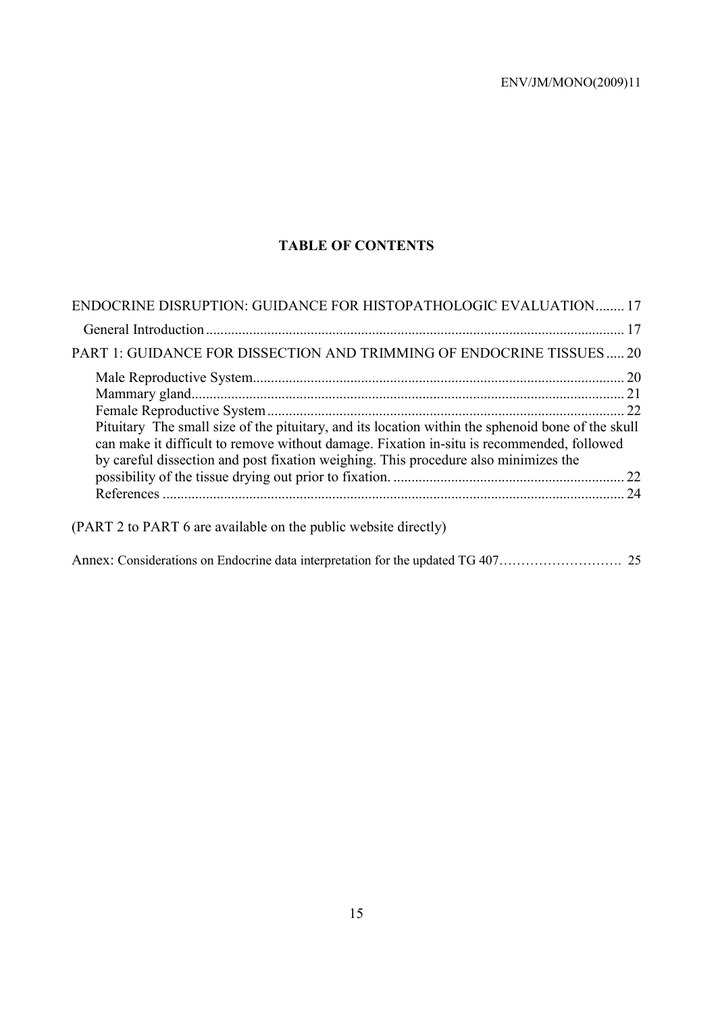# **TABLE OF CONTENTS**

| ENDOCRINE DISRUPTION: GUIDANCE FOR HISTOPATHOLOGIC EVALUATION 17                                                                                                                                                                                                                      |  |
|---------------------------------------------------------------------------------------------------------------------------------------------------------------------------------------------------------------------------------------------------------------------------------------|--|
|                                                                                                                                                                                                                                                                                       |  |
| PART 1: GUIDANCE FOR DISSECTION AND TRIMMING OF ENDOCRINE TISSUES  20                                                                                                                                                                                                                 |  |
| Pituitary The small size of the pituitary, and its location within the sphenoid bone of the skull<br>can make it difficult to remove without damage. Fixation in-situ is recommended, followed<br>by careful dissection and post fixation weighing. This procedure also minimizes the |  |
|                                                                                                                                                                                                                                                                                       |  |
| (PART 2 to PART 6 are available on the public website directly)                                                                                                                                                                                                                       |  |
|                                                                                                                                                                                                                                                                                       |  |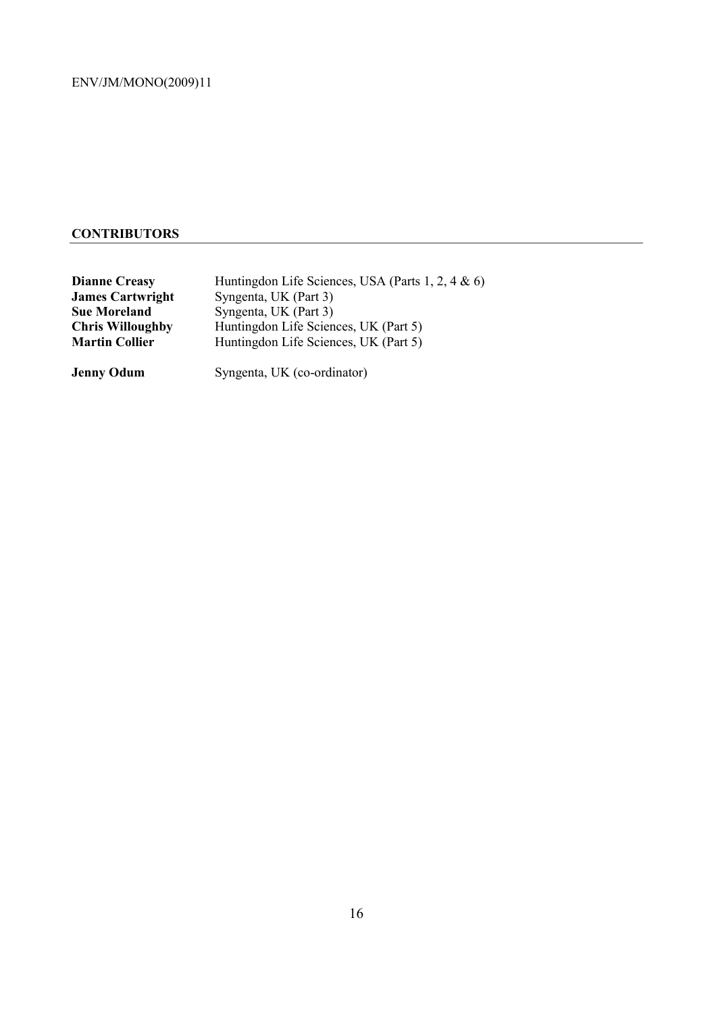# **CONTRIBUTORS**

| <b>Dianne Creasy</b>    | Huntingdon Life Sciences, USA (Parts 1, 2, 4 $\&$ 6) |
|-------------------------|------------------------------------------------------|
| <b>James Cartwright</b> | Syngenta, UK (Part 3)                                |
| <b>Sue Moreland</b>     | Syngenta, UK (Part 3)                                |
| <b>Chris Willoughby</b> | Huntingdon Life Sciences, UK (Part 5)                |
| <b>Martin Collier</b>   | Huntingdon Life Sciences, UK (Part 5)                |
| <b>Jenny Odum</b>       | Syngenta, UK (co-ordinator)                          |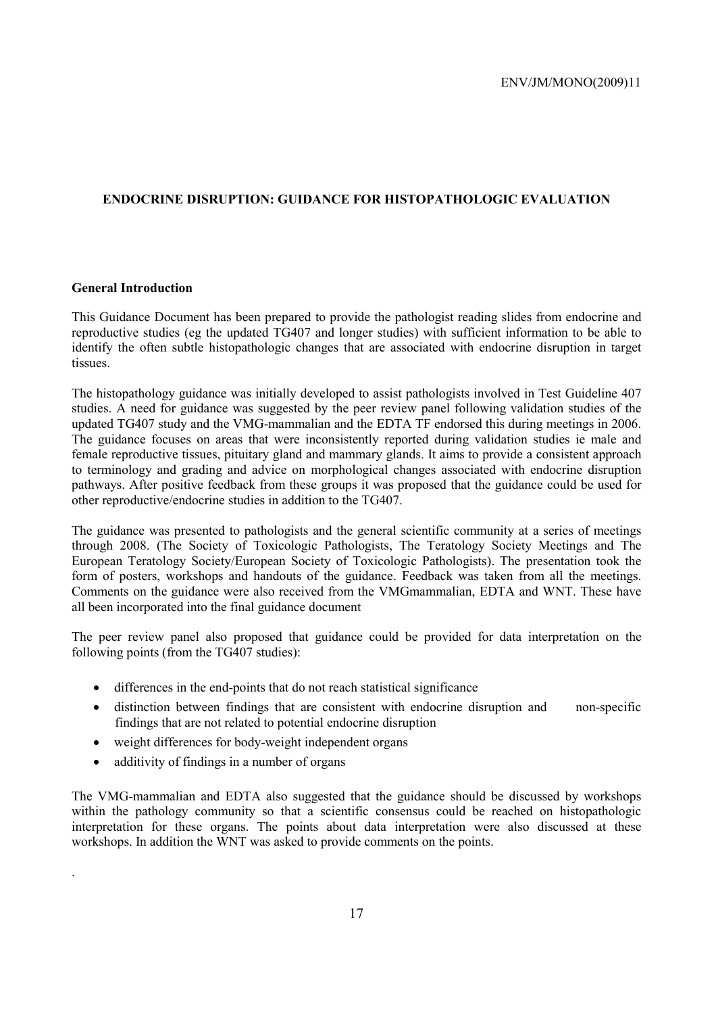# **ENDOCRINE DISRUPTION: GUIDANCE FOR HISTOPATHOLOGIC EVALUATION**

#### **General Introduction**

This Guidance Document has been prepared to provide the pathologist reading slides from endocrine and reproductive studies (eg the updated TG407 and longer studies) with sufficient information to be able to identify the often subtle histopathologic changes that are associated with endocrine disruption in target tissues.

The histopathology guidance was initially developed to assist pathologists involved in Test Guideline 407 studies. A need for guidance was suggested by the peer review panel following validation studies of the updated TG407 study and the VMG-mammalian and the EDTA TF endorsed this during meetings in 2006. The guidance focuses on areas that were inconsistently reported during validation studies ie male and female reproductive tissues, pituitary gland and mammary glands. It aims to provide a consistent approach to terminology and grading and advice on morphological changes associated with endocrine disruption pathways. After positive feedback from these groups it was proposed that the guidance could be used for other reproductive/endocrine studies in addition to the TG407.

The guidance was presented to pathologists and the general scientific community at a series of meetings through 2008. (The Society of Toxicologic Pathologists, The Teratology Society Meetings and The European Teratology Society/European Society of Toxicologic Pathologists). The presentation took the form of posters, workshops and handouts of the guidance. Feedback was taken from all the meetings. Comments on the guidance were also received from the VMGmammalian, EDTA and WNT. These have all been incorporated into the final guidance document

The peer review panel also proposed that guidance could be provided for data interpretation on the following points (from the TG407 studies):

- differences in the end-points that do not reach statistical significance
- distinction between findings that are consistent with endocrine disruption and non-specific findings that are not related to potential endocrine disruption
- weight differences for body-weight independent organs
- additivity of findings in a number of organs

.

The VMG-mammalian and EDTA also suggested that the guidance should be discussed by workshops within the pathology community so that a scientific consensus could be reached on histopathologic interpretation for these organs. The points about data interpretation were also discussed at these workshops. In addition the WNT was asked to provide comments on the points.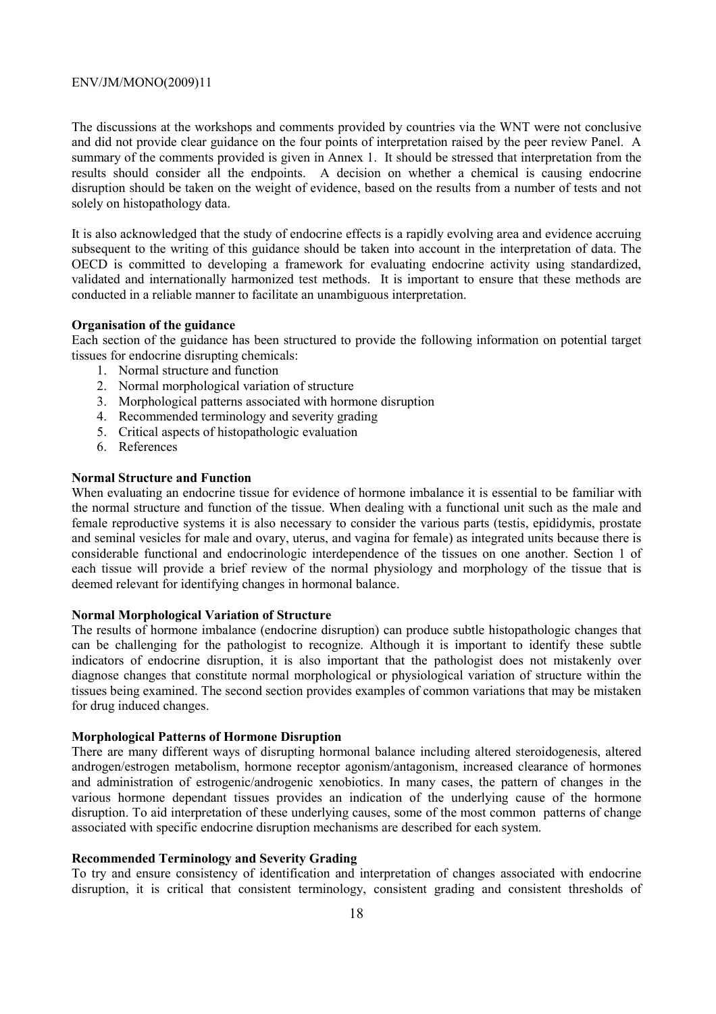The discussions at the workshops and comments provided by countries via the WNT were not conclusive and did not provide clear guidance on the four points of interpretation raised by the peer review Panel. A summary of the comments provided is given in Annex 1. It should be stressed that interpretation from the results should consider all the endpoints. A decision on whether a chemical is causing endocrine disruption should be taken on the weight of evidence, based on the results from a number of tests and not solely on histopathology data.

It is also acknowledged that the study of endocrine effects is a rapidly evolving area and evidence accruing subsequent to the writing of this guidance should be taken into account in the interpretation of data. The OECD is committed to developing a framework for evaluating endocrine activity using standardized, validated and internationally harmonized test methods. It is important to ensure that these methods are conducted in a reliable manner to facilitate an unambiguous interpretation.

#### **Organisation of the guidance**

Each section of the guidance has been structured to provide the following information on potential target tissues for endocrine disrupting chemicals:

- 1. Normal structure and function
- 2. Normal morphological variation of structure
- 3. Morphological patterns associated with hormone disruption
- 4. Recommended terminology and severity grading
- 5. Critical aspects of histopathologic evaluation
- 6. References

#### **Normal Structure and Function**

When evaluating an endocrine tissue for evidence of hormone imbalance it is essential to be familiar with the normal structure and function of the tissue. When dealing with a functional unit such as the male and female reproductive systems it is also necessary to consider the various parts (testis, epididymis, prostate and seminal vesicles for male and ovary, uterus, and vagina for female) as integrated units because there is considerable functional and endocrinologic interdependence of the tissues on one another. Section 1 of each tissue will provide a brief review of the normal physiology and morphology of the tissue that is deemed relevant for identifying changes in hormonal balance.

#### **Normal Morphological Variation of Structure**

The results of hormone imbalance (endocrine disruption) can produce subtle histopathologic changes that can be challenging for the pathologist to recognize. Although it is important to identify these subtle indicators of endocrine disruption, it is also important that the pathologist does not mistakenly over diagnose changes that constitute normal morphological or physiological variation of structure within the tissues being examined. The second section provides examples of common variations that may be mistaken for drug induced changes.

#### **Morphological Patterns of Hormone Disruption**

There are many different ways of disrupting hormonal balance including altered steroidogenesis, altered androgen/estrogen metabolism, hormone receptor agonism/antagonism, increased clearance of hormones and administration of estrogenic/androgenic xenobiotics. In many cases, the pattern of changes in the various hormone dependant tissues provides an indication of the underlying cause of the hormone disruption. To aid interpretation of these underlying causes, some of the most common patterns of change associated with specific endocrine disruption mechanisms are described for each system.

#### **Recommended Terminology and Severity Grading**

To try and ensure consistency of identification and interpretation of changes associated with endocrine disruption, it is critical that consistent terminology, consistent grading and consistent thresholds of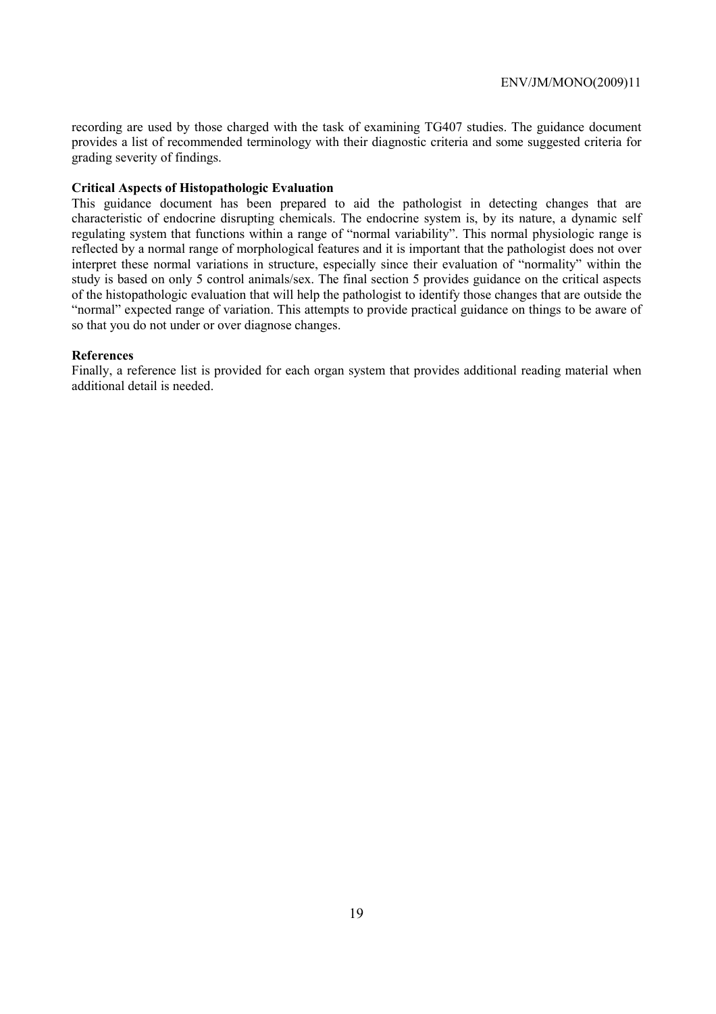recording are used by those charged with the task of examining TG407 studies. The guidance document provides a list of recommended terminology with their diagnostic criteria and some suggested criteria for grading severity of findings.

#### **Critical Aspects of Histopathologic Evaluation**

This guidance document has been prepared to aid the pathologist in detecting changes that are characteristic of endocrine disrupting chemicals. The endocrine system is, by its nature, a dynamic self regulating system that functions within a range of "normal variability". This normal physiologic range is reflected by a normal range of morphological features and it is important that the pathologist does not over interpret these normal variations in structure, especially since their evaluation of "normality" within the study is based on only 5 control animals/sex. The final section 5 provides guidance on the critical aspects of the histopathologic evaluation that will help the pathologist to identify those changes that are outside the "normal" expected range of variation. This attempts to provide practical guidance on things to be aware of so that you do not under or over diagnose changes.

#### **References**

Finally, a reference list is provided for each organ system that provides additional reading material when additional detail is needed.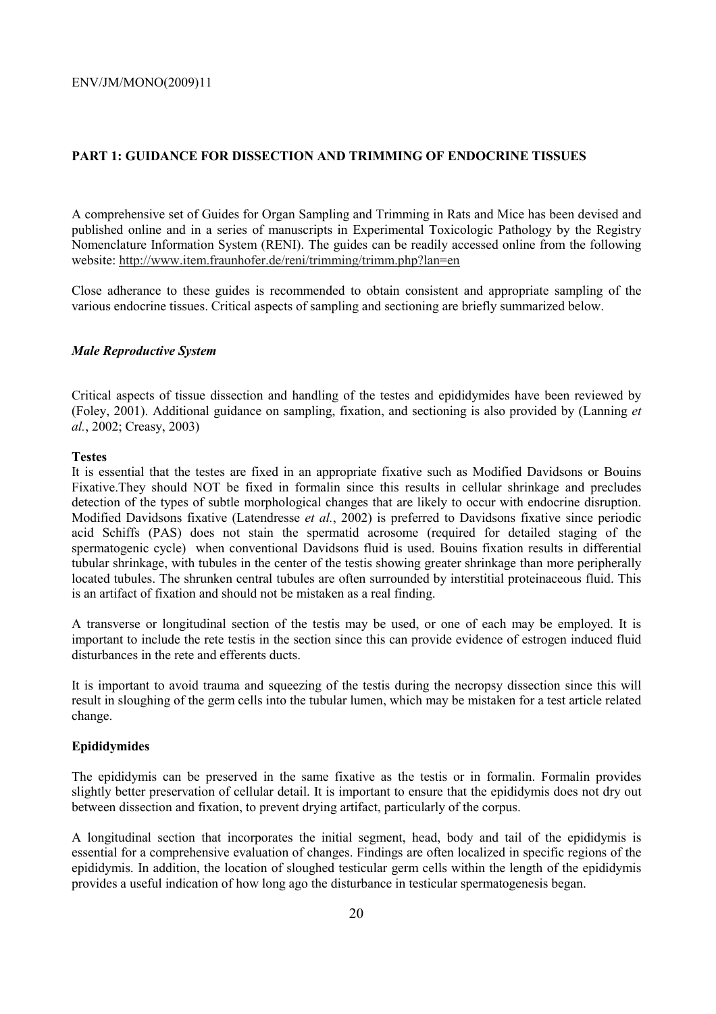# **PART 1: GUIDANCE FOR DISSECTION AND TRIMMING OF ENDOCRINE TISSUES**

A comprehensive set of Guides for Organ Sampling and Trimming in Rats and Mice has been devised and published online and in a series of manuscripts in Experimental Toxicologic Pathology by the Registry Nomenclature Information System (RENI). The guides can be readily accessed online from the following website: http://www.item.fraunhofer.de/reni/trimming/trimm.php?lan=en

Close adherance to these guides is recommended to obtain consistent and appropriate sampling of the various endocrine tissues. Critical aspects of sampling and sectioning are briefly summarized below.

#### *Male Reproductive System*

Critical aspects of tissue dissection and handling of the testes and epididymides have been reviewed by (Foley, 2001). Additional guidance on sampling, fixation, and sectioning is also provided by (Lanning *et al.*, 2002; Creasy, 2003)

#### **Testes**

It is essential that the testes are fixed in an appropriate fixative such as Modified Davidsons or Bouins Fixative.They should NOT be fixed in formalin since this results in cellular shrinkage and precludes detection of the types of subtle morphological changes that are likely to occur with endocrine disruption. Modified Davidsons fixative (Latendresse *et al.*, 2002) is preferred to Davidsons fixative since periodic acid Schiffs (PAS) does not stain the spermatid acrosome (required for detailed staging of the spermatogenic cycle) when conventional Davidsons fluid is used. Bouins fixation results in differential tubular shrinkage, with tubules in the center of the testis showing greater shrinkage than more peripherally located tubules. The shrunken central tubules are often surrounded by interstitial proteinaceous fluid. This is an artifact of fixation and should not be mistaken as a real finding.

A transverse or longitudinal section of the testis may be used, or one of each may be employed. It is important to include the rete testis in the section since this can provide evidence of estrogen induced fluid disturbances in the rete and efferents ducts.

It is important to avoid trauma and squeezing of the testis during the necropsy dissection since this will result in sloughing of the germ cells into the tubular lumen, which may be mistaken for a test article related change.

#### **Epididymides**

The epididymis can be preserved in the same fixative as the testis or in formalin. Formalin provides slightly better preservation of cellular detail. It is important to ensure that the epididymis does not dry out between dissection and fixation, to prevent drying artifact, particularly of the corpus.

A longitudinal section that incorporates the initial segment, head, body and tail of the epididymis is essential for a comprehensive evaluation of changes. Findings are often localized in specific regions of the epididymis. In addition, the location of sloughed testicular germ cells within the length of the epididymis provides a useful indication of how long ago the disturbance in testicular spermatogenesis began.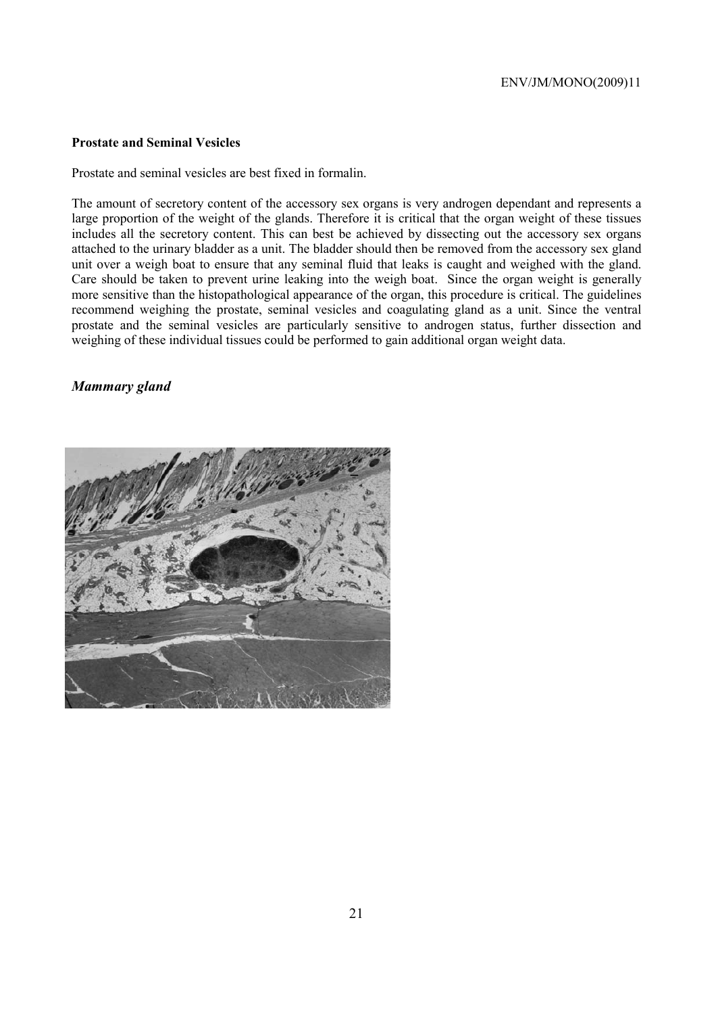#### **Prostate and Seminal Vesicles**

Prostate and seminal vesicles are best fixed in formalin.

The amount of secretory content of the accessory sex organs is very androgen dependant and represents a large proportion of the weight of the glands. Therefore it is critical that the organ weight of these tissues includes all the secretory content. This can best be achieved by dissecting out the accessory sex organs attached to the urinary bladder as a unit. The bladder should then be removed from the accessory sex gland unit over a weigh boat to ensure that any seminal fluid that leaks is caught and weighed with the gland. Care should be taken to prevent urine leaking into the weigh boat. Since the organ weight is generally more sensitive than the histopathological appearance of the organ, this procedure is critical. The guidelines recommend weighing the prostate, seminal vesicles and coagulating gland as a unit. Since the ventral prostate and the seminal vesicles are particularly sensitive to androgen status, further dissection and weighing of these individual tissues could be performed to gain additional organ weight data.

# *Mammary gland*

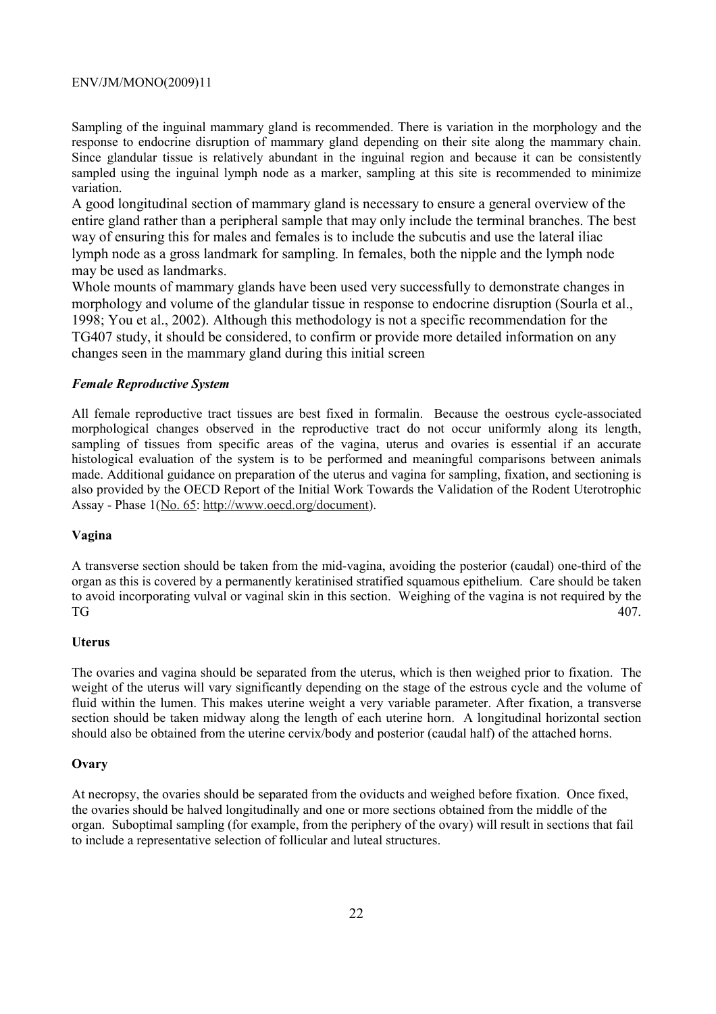Sampling of the inguinal mammary gland is recommended. There is variation in the morphology and the response to endocrine disruption of mammary gland depending on their site along the mammary chain. Since glandular tissue is relatively abundant in the inguinal region and because it can be consistently sampled using the inguinal lymph node as a marker, sampling at this site is recommended to minimize variation.

A good longitudinal section of mammary gland is necessary to ensure a general overview of the entire gland rather than a peripheral sample that may only include the terminal branches. The best way of ensuring this for males and females is to include the subcutis and use the lateral iliac lymph node as a gross landmark for sampling. In females, both the nipple and the lymph node may be used as landmarks.

Whole mounts of mammary glands have been used very successfully to demonstrate changes in morphology and volume of the glandular tissue in response to endocrine disruption (Sourla et al., 1998; You et al., 2002). Although this methodology is not a specific recommendation for the TG407 study, it should be considered, to confirm or provide more detailed information on any changes seen in the mammary gland during this initial screen

#### *Female Reproductive System*

All female reproductive tract tissues are best fixed in formalin. Because the oestrous cycle-associated morphological changes observed in the reproductive tract do not occur uniformly along its length, sampling of tissues from specific areas of the vagina, uterus and ovaries is essential if an accurate histological evaluation of the system is to be performed and meaningful comparisons between animals made. Additional guidance on preparation of the uterus and vagina for sampling, fixation, and sectioning is also provided by the OECD Report of the Initial Work Towards the Validation of the Rodent Uterotrophic Assay - Phase 1(No. 65: http://www.oecd.org/document).

#### **Vagina**

A transverse section should be taken from the mid-vagina, avoiding the posterior (caudal) one-third of the organ as this is covered by a permanently keratinised stratified squamous epithelium. Care should be taken to avoid incorporating vulval or vaginal skin in this section. Weighing of the vagina is not required by the  $T<sub>G</sub>$  407.

#### **Uterus**

The ovaries and vagina should be separated from the uterus, which is then weighed prior to fixation. The weight of the uterus will vary significantly depending on the stage of the estrous cycle and the volume of fluid within the lumen. This makes uterine weight a very variable parameter. After fixation, a transverse section should be taken midway along the length of each uterine horn. A longitudinal horizontal section should also be obtained from the uterine cervix/body and posterior (caudal half) of the attached horns.

#### **Ovary**

At necropsy, the ovaries should be separated from the oviducts and weighed before fixation. Once fixed, the ovaries should be halved longitudinally and one or more sections obtained from the middle of the organ. Suboptimal sampling (for example, from the periphery of the ovary) will result in sections that fail to include a representative selection of follicular and luteal structures.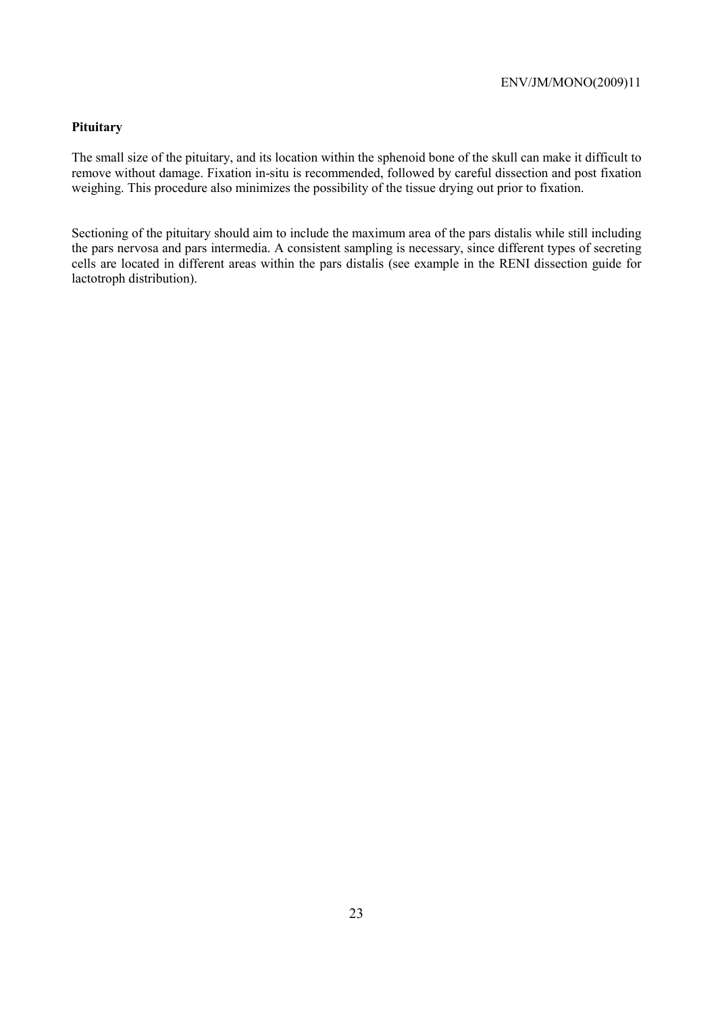#### **Pituitary**

The small size of the pituitary, and its location within the sphenoid bone of the skull can make it difficult to remove without damage. Fixation in-situ is recommended, followed by careful dissection and post fixation weighing. This procedure also minimizes the possibility of the tissue drying out prior to fixation.

Sectioning of the pituitary should aim to include the maximum area of the pars distalis while still including the pars nervosa and pars intermedia. A consistent sampling is necessary, since different types of secreting cells are located in different areas within the pars distalis (see example in the RENI dissection guide for lactotroph distribution).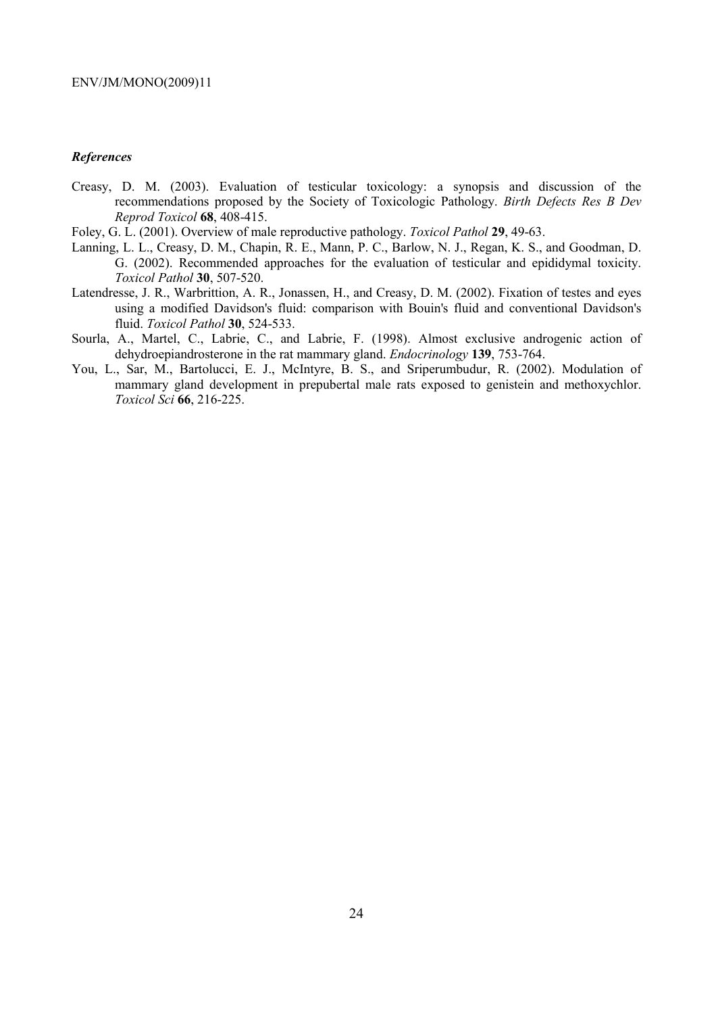# *References*

- Creasy, D. M. (2003). Evaluation of testicular toxicology: a synopsis and discussion of the recommendations proposed by the Society of Toxicologic Pathology. *Birth Defects Res B Dev Reprod Toxicol* **68**, 408-415.
- Foley, G. L. (2001). Overview of male reproductive pathology. *Toxicol Pathol* **29**, 49-63.
- Lanning, L. L., Creasy, D. M., Chapin, R. E., Mann, P. C., Barlow, N. J., Regan, K. S., and Goodman, D. G. (2002). Recommended approaches for the evaluation of testicular and epididymal toxicity. *Toxicol Pathol* **30**, 507-520.
- Latendresse, J. R., Warbrittion, A. R., Jonassen, H., and Creasy, D. M. (2002). Fixation of testes and eyes using a modified Davidson's fluid: comparison with Bouin's fluid and conventional Davidson's fluid. *Toxicol Pathol* **30**, 524-533.
- Sourla, A., Martel, C., Labrie, C., and Labrie, F. (1998). Almost exclusive androgenic action of dehydroepiandrosterone in the rat mammary gland. *Endocrinology* **139**, 753-764.
- You, L., Sar, M., Bartolucci, E. J., McIntyre, B. S., and Sriperumbudur, R. (2002). Modulation of mammary gland development in prepubertal male rats exposed to genistein and methoxychlor. *Toxicol Sci* **66**, 216-225.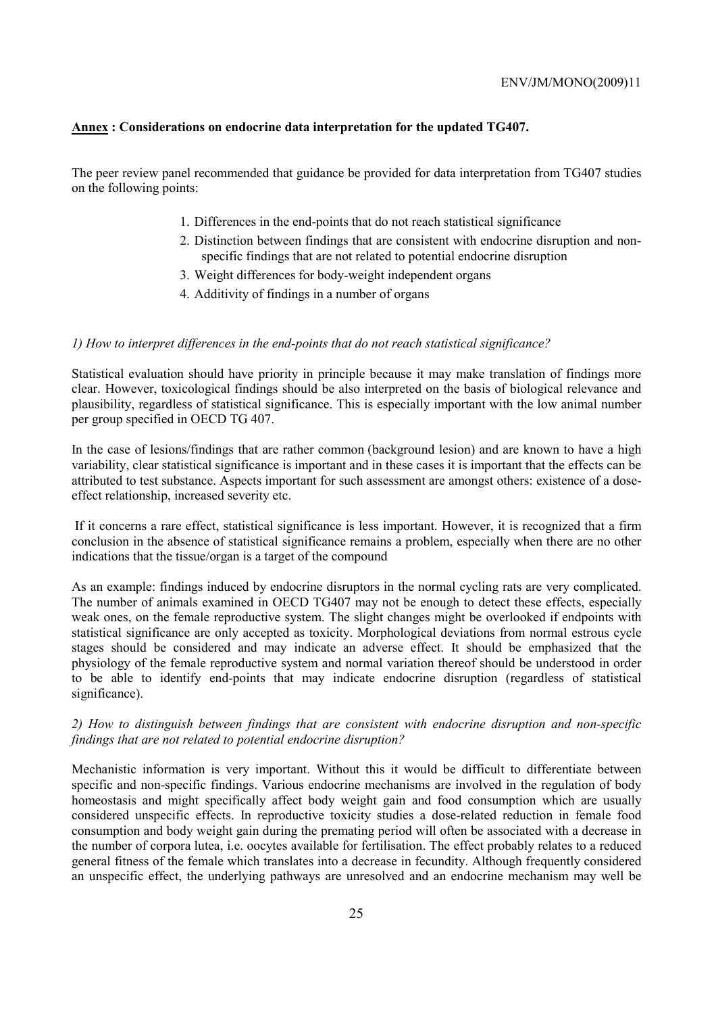#### **Annex : Considerations on endocrine data interpretation for the updated TG407.**

The peer review panel recommended that guidance be provided for data interpretation from TG407 studies on the following points:

- 1. Differences in the end-points that do not reach statistical significance
- 2. Distinction between findings that are consistent with endocrine disruption and nonspecific findings that are not related to potential endocrine disruption
- 3. Weight differences for body-weight independent organs
- 4. Additivity of findings in a number of organs

#### *1) How to interpret differences in the end-points that do not reach statistical significance?*

Statistical evaluation should have priority in principle because it may make translation of findings more clear. However, toxicological findings should be also interpreted on the basis of biological relevance and plausibility, regardless of statistical significance. This is especially important with the low animal number per group specified in OECD TG 407.

In the case of lesions/findings that are rather common (background lesion) and are known to have a high variability, clear statistical significance is important and in these cases it is important that the effects can be attributed to test substance. Aspects important for such assessment are amongst others: existence of a doseeffect relationship, increased severity etc.

 If it concerns a rare effect, statistical significance is less important. However, it is recognized that a firm conclusion in the absence of statistical significance remains a problem, especially when there are no other indications that the tissue/organ is a target of the compound

As an example: findings induced by endocrine disruptors in the normal cycling rats are very complicated. The number of animals examined in OECD TG407 may not be enough to detect these effects, especially weak ones, on the female reproductive system. The slight changes might be overlooked if endpoints with statistical significance are only accepted as toxicity. Morphological deviations from normal estrous cycle stages should be considered and may indicate an adverse effect. It should be emphasized that the physiology of the female reproductive system and normal variation thereof should be understood in order to be able to identify end-points that may indicate endocrine disruption (regardless of statistical significance).

# *2) How to distinguish between findings that are consistent with endocrine disruption and non-specific findings that are not related to potential endocrine disruption?*

Mechanistic information is very important. Without this it would be difficult to differentiate between specific and non-specific findings. Various endocrine mechanisms are involved in the regulation of body homeostasis and might specifically affect body weight gain and food consumption which are usually considered unspecific effects. In reproductive toxicity studies a dose-related reduction in female food consumption and body weight gain during the premating period will often be associated with a decrease in the number of corpora lutea, i.e. oocytes available for fertilisation. The effect probably relates to a reduced general fitness of the female which translates into a decrease in fecundity. Although frequently considered an unspecific effect, the underlying pathways are unresolved and an endocrine mechanism may well be